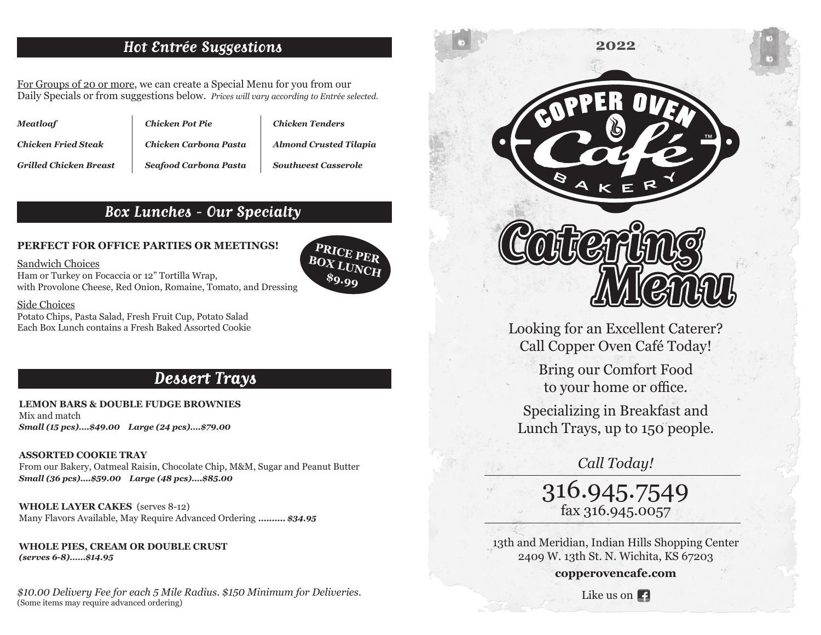### **Hot Entrée Suggestions**

For Groups of 20 or more, we can create a Special Menu for you from our Daily Specials or from suggestions below. *Prices will vary according to Entrée selected.*

| <b>Meatloaf</b>               | <b>Chicken Pot Pie</b> | C) |
|-------------------------------|------------------------|----|
| <b>Chicken Fried Steak</b>    | Chicken Carbona Pasta  | A  |
| <b>Grilled Chicken Breast</b> | Seafood Carbona Pasta  | S1 |

*Chicken Tenders Almond Crusted Tilapia*

*Southwest Casserole*

### **Box Lunches - Our Specialty**

**PERFECT FOR OFFICE PARTIES OR MEETINGS!**

Sandwich Choices

Ham or Turkey on Focaccia or 12" Tortilla Wrap, with Provolone Cheese, Red Onion, Romaine, Tomato, and Dressing

#### Side Choices

Potato Chips, Pasta Salad, Fresh Fruit Cup, Potato Salad Each Box Lunch contains a Fresh Baked Assorted Cookie



# **Dessert Trays**

**LEMON BARS & DOUBLE FUDGE BROWNIES**  Mix and match *Small (15 pcs)….\$49.00 Large (24 pcs)….\$79.00*

#### **ASSORTED COOKIE TRAY**

From our Bakery, Oatmeal Raisin, Chocolate Chip, M&M, Sugar and Peanut Butter *Small (36 pcs)….\$59.00 Large (48 pcs)….\$85.00*

**WHOLE LAYER CAKES** (serves 8-12) Many Flavors Available, May Require Advanced Ordering *.......... \$34.95*

**WHOLE PIES, CREAM OR DOUBLE CRUST**  *(serves 6-8)……\$14.95*

*\$10.00 Delivery Fee for each 5 Mile Radius. \$150 Minimum for Deliveries.* (Some items may require advanced ordering)



Looking for an Excellent Caterer? Call Copper Oven Café Today!

> Bring our Comfort Food to your home or office.

Specializing in Breakfast and Lunch Trays, up to 150 people.

*Call Today!*

316.945.7549 fax 316.945.0057

13th and Meridian, Indian Hills Shopping Center 2409 W. 13th St. N. Wichita, KS 67203

**copperovencafe.com**

Like us on **1**